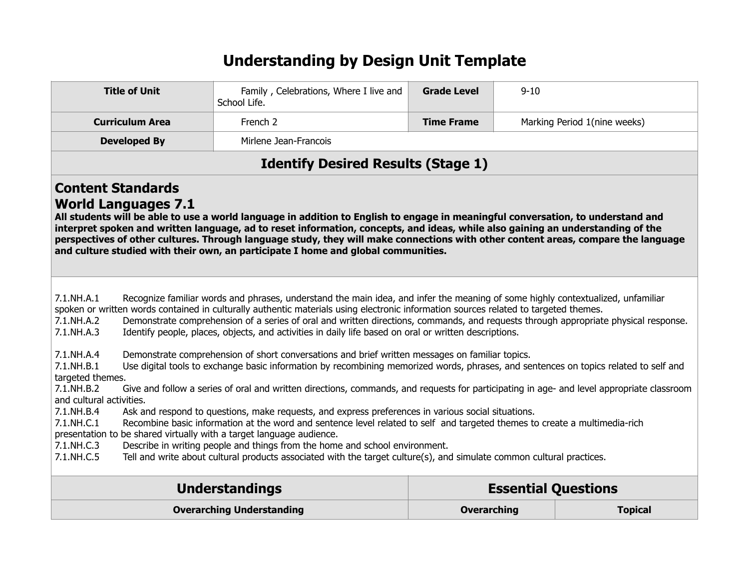## **Understanding by Design Unit Template**

| <b>Title of Unit</b>                                                                                                                                                                                                                                                                                                                                                                                                                                                                                                                                                                                                                                                                                                                                                                                                                                                                                                                                                                                                                                                                                                                                                                                                                                                                                                                                                                                                                                                                                                                                                                                                               | Family, Celebrations, Where I live and<br>School Life. | <b>Grade Level</b> | $9 - 10$ |                              |
|------------------------------------------------------------------------------------------------------------------------------------------------------------------------------------------------------------------------------------------------------------------------------------------------------------------------------------------------------------------------------------------------------------------------------------------------------------------------------------------------------------------------------------------------------------------------------------------------------------------------------------------------------------------------------------------------------------------------------------------------------------------------------------------------------------------------------------------------------------------------------------------------------------------------------------------------------------------------------------------------------------------------------------------------------------------------------------------------------------------------------------------------------------------------------------------------------------------------------------------------------------------------------------------------------------------------------------------------------------------------------------------------------------------------------------------------------------------------------------------------------------------------------------------------------------------------------------------------------------------------------------|--------------------------------------------------------|--------------------|----------|------------------------------|
| <b>Curriculum Area</b>                                                                                                                                                                                                                                                                                                                                                                                                                                                                                                                                                                                                                                                                                                                                                                                                                                                                                                                                                                                                                                                                                                                                                                                                                                                                                                                                                                                                                                                                                                                                                                                                             | French <sub>2</sub>                                    | <b>Time Frame</b>  |          | Marking Period 1(nine weeks) |
| <b>Developed By</b>                                                                                                                                                                                                                                                                                                                                                                                                                                                                                                                                                                                                                                                                                                                                                                                                                                                                                                                                                                                                                                                                                                                                                                                                                                                                                                                                                                                                                                                                                                                                                                                                                | Mirlene Jean-Francois                                  |                    |          |                              |
|                                                                                                                                                                                                                                                                                                                                                                                                                                                                                                                                                                                                                                                                                                                                                                                                                                                                                                                                                                                                                                                                                                                                                                                                                                                                                                                                                                                                                                                                                                                                                                                                                                    | <b>Identify Desired Results (Stage 1)</b>              |                    |          |                              |
| <b>Content Standards</b><br><b>World Languages 7.1</b><br>All students will be able to use a world language in addition to English to engage in meaningful conversation, to understand and<br>interpret spoken and written language, ad to reset information, concepts, and ideas, while also gaining an understanding of the<br>perspectives of other cultures. Through language study, they will make connections with other content areas, compare the language<br>and culture studied with their own, an participate I home and global communities.                                                                                                                                                                                                                                                                                                                                                                                                                                                                                                                                                                                                                                                                                                                                                                                                                                                                                                                                                                                                                                                                            |                                                        |                    |          |                              |
| 7.1.NH.A.1<br>Recognize familiar words and phrases, understand the main idea, and infer the meaning of some highly contextualized, unfamiliar<br>spoken or written words contained in culturally authentic materials using electronic information sources related to targeted themes.<br>Demonstrate comprehension of a series of oral and written directions, commands, and requests through appropriate physical response.<br>7.1.NH.A.2<br>Identify people, places, objects, and activities in daily life based on oral or written descriptions.<br>$7.1$ .NH.A.3<br>7.1.NH.A.4<br>Demonstrate comprehension of short conversations and brief written messages on familiar topics.<br>Use digital tools to exchange basic information by recombining memorized words, phrases, and sentences on topics related to self and<br>7.1.NH.B.1<br>targeted themes.<br>7.1.NH.B.2<br>Give and follow a series of oral and written directions, commands, and requests for participating in age- and level appropriate classroom<br>and cultural activities.<br>7.1.NH.B.4<br>Ask and respond to questions, make requests, and express preferences in various social situations.<br>7.1.NH.C.1<br>Recombine basic information at the word and sentence level related to self and targeted themes to create a multimedia-rich<br>presentation to be shared virtually with a target language audience.<br>Describe in writing people and things from the home and school environment.<br>7.1.NH.C.3<br>Tell and write about cultural products associated with the target culture(s), and simulate common cultural practices.<br>7.1.NH.C.5 |                                                        |                    |          |                              |
|                                                                                                                                                                                                                                                                                                                                                                                                                                                                                                                                                                                                                                                                                                                                                                                                                                                                                                                                                                                                                                                                                                                                                                                                                                                                                                                                                                                                                                                                                                                                                                                                                                    | <b>Understandings</b>                                  |                    |          | <b>Essential Questions</b>   |
| <b>Overarching Understanding</b><br><b>Topical</b><br><b>Overarching</b>                                                                                                                                                                                                                                                                                                                                                                                                                                                                                                                                                                                                                                                                                                                                                                                                                                                                                                                                                                                                                                                                                                                                                                                                                                                                                                                                                                                                                                                                                                                                                           |                                                        |                    |          |                              |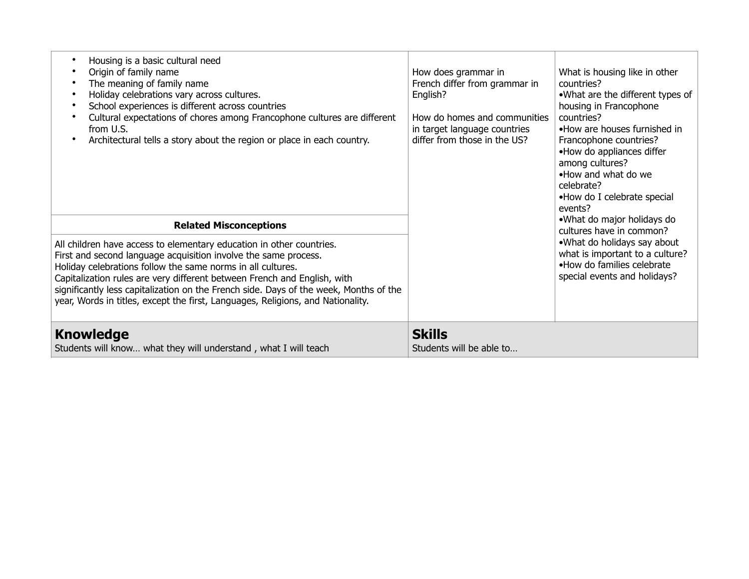| Housing is a basic cultural need<br>$\bullet$<br>Origin of family name<br>The meaning of family name<br>$\bullet$<br>Holiday celebrations vary across cultures.<br>$\bullet$<br>School experiences is different across countries<br>$\bullet$<br>Cultural expectations of chores among Francophone cultures are different<br>$\bullet$<br>from U.S.<br>Architectural tells a story about the region or place in each country.<br>$\bullet$                                                      | How does grammar in<br>French differ from grammar in<br>English?<br>How do homes and communities<br>in target language countries<br>differ from those in the US? | What is housing like in other<br>countries?<br>.What are the different types of<br>housing in Francophone<br>countries?<br>•How are houses furnished in<br>Francophone countries?<br>•How do appliances differ<br>among cultures?<br>. How and what do we<br>celebrate?<br>•How do I celebrate special<br>events? |
|-------------------------------------------------------------------------------------------------------------------------------------------------------------------------------------------------------------------------------------------------------------------------------------------------------------------------------------------------------------------------------------------------------------------------------------------------------------------------------------------------|------------------------------------------------------------------------------------------------------------------------------------------------------------------|-------------------------------------------------------------------------------------------------------------------------------------------------------------------------------------------------------------------------------------------------------------------------------------------------------------------|
| <b>Related Misconceptions</b><br>All children have access to elementary education in other countries.<br>First and second language acquisition involve the same process.<br>Holiday celebrations follow the same norms in all cultures.<br>Capitalization rules are very different between French and English, with<br>significantly less capitalization on the French side. Days of the week, Months of the<br>year, Words in titles, except the first, Languages, Religions, and Nationality. |                                                                                                                                                                  | •What do major holidays do<br>cultures have in common?<br>.What do holidays say about<br>what is important to a culture?<br>•How do families celebrate<br>special events and holidays?                                                                                                                            |
| <b>Knowledge</b><br>Students will know what they will understand, what I will teach                                                                                                                                                                                                                                                                                                                                                                                                             | <b>Skills</b><br>Students will be able to                                                                                                                        |                                                                                                                                                                                                                                                                                                                   |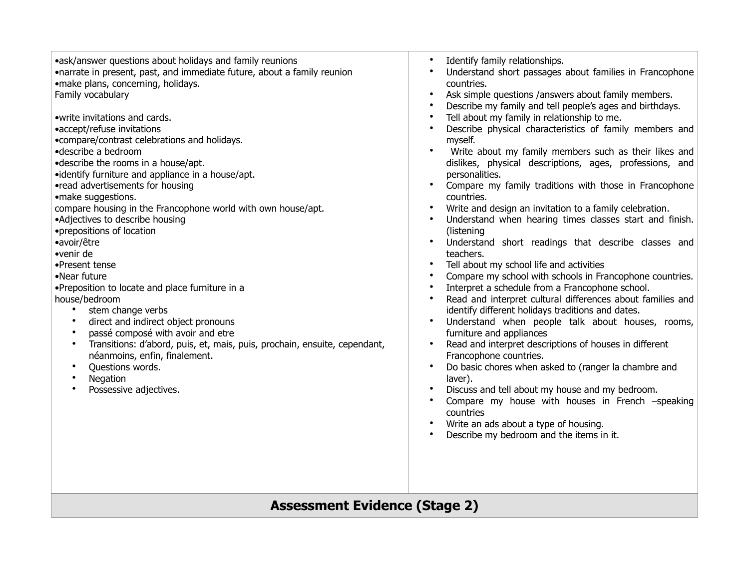## **Assessment Evidence (Stage 2)**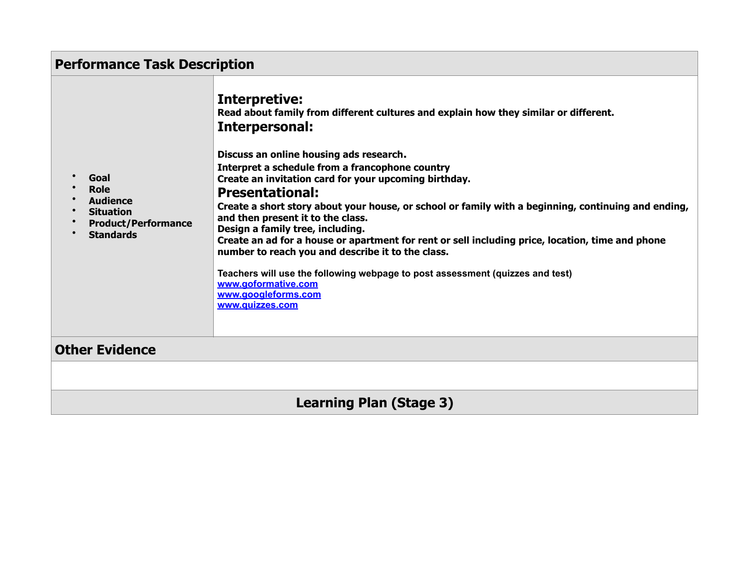| <b>Performance Task Description</b>                                                                          |                                                                                                                                                                                                                                                                                                                                                                                                                                                                                                                                                                                                                                                                                                                                                                                                            |  |
|--------------------------------------------------------------------------------------------------------------|------------------------------------------------------------------------------------------------------------------------------------------------------------------------------------------------------------------------------------------------------------------------------------------------------------------------------------------------------------------------------------------------------------------------------------------------------------------------------------------------------------------------------------------------------------------------------------------------------------------------------------------------------------------------------------------------------------------------------------------------------------------------------------------------------------|--|
| Goal<br><b>Role</b><br><b>Audience</b><br><b>Situation</b><br><b>Product/Performance</b><br><b>Standards</b> | <b>Interpretive:</b><br>Read about family from different cultures and explain how they similar or different.<br>Interpersonal:<br>Discuss an online housing ads research.<br>Interpret a schedule from a francophone country<br>Create an invitation card for your upcoming birthday.<br><b>Presentational:</b><br>Create a short story about your house, or school or family with a beginning, continuing and ending,<br>and then present it to the class.<br>Design a family tree, including.<br>Create an ad for a house or apartment for rent or sell including price, location, time and phone<br>number to reach you and describe it to the class.<br>Teachers will use the following webpage to post assessment (quizzes and test)<br>www.aoformative.com<br>www.googleforms.com<br>www.quizzes.com |  |
| <b>Other Evidence</b>                                                                                        |                                                                                                                                                                                                                                                                                                                                                                                                                                                                                                                                                                                                                                                                                                                                                                                                            |  |
|                                                                                                              |                                                                                                                                                                                                                                                                                                                                                                                                                                                                                                                                                                                                                                                                                                                                                                                                            |  |
| <b>Learning Plan (Stage 3)</b>                                                                               |                                                                                                                                                                                                                                                                                                                                                                                                                                                                                                                                                                                                                                                                                                                                                                                                            |  |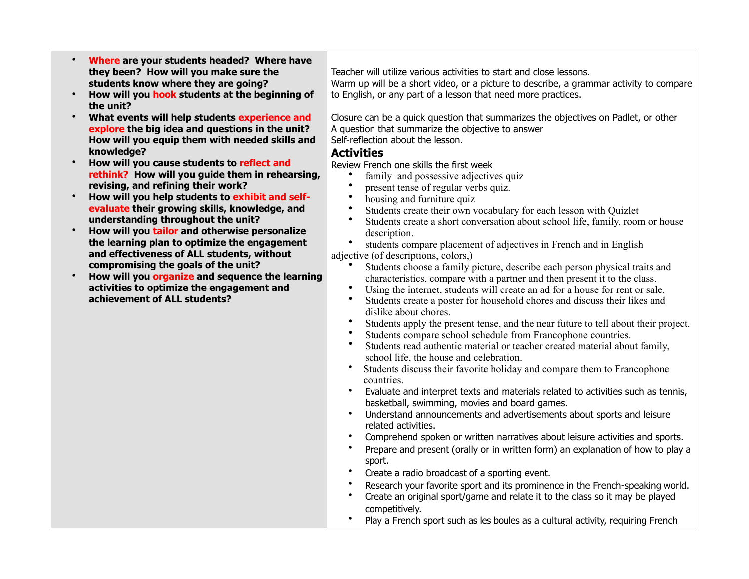- **Where are your students headed? Where have they been? How will you make sure the students know where they are going?**
- **How will you hook students at the beginning of the unit?**
- **What events will help students experience and explore the big idea and questions in the unit? How will you equip them with needed skills and knowledge?**
- **How will you cause students to reflect and rethink? How will you guide them in rehearsing, revising, and refining their work?**
- **How will you help students to exhibit and selfevaluate their growing skills, knowledge, and understanding throughout the unit?**
- **How will you tailor and otherwise personalize the learning plan to optimize the engagement and effectiveness of ALL students, without compromising the goals of the unit?**
- **How will you organize and sequence the learning activities to optimize the engagement and achievement of ALL students?**

Teacher will utilize various activities to start and close lessons. Warm up will be a short video, or a picture to describe, a grammar activity to compare to English, or any part of a lesson that need more practices.

Closure can be a quick question that summarizes the objectives on Padlet, or other A question that summarize the objective to answer Self-reflection about the lesson.

## **Activities**

Review French one skills the first week

- family and possessive adjectives quiz
- present tense of regular verbs quiz.
- housing and furniture quiz
- Students create their own vocabulary for each lesson with Quizlet
- Students create a short conversation about school life, family, room or house description.

students compare placement of adjectives in French and in English adiective (of descriptions, colors,)

- Students choose a family picture, describe each person physical traits and characteristics, compare with a partner and then present it to the class.
- Using the internet, students will create an ad for a house for rent or sale.
- Students create a poster for household chores and discuss their likes and dislike about chores.
- Students apply the present tense, and the near future to tell about their project.
- Students compare school schedule from Francophone countries.
- Students read authentic material or teacher created material about family, school life, the house and celebration.
- Students discuss their favorite holiday and compare them to Francophone countries.
- Evaluate and interpret texts and materials related to activities such as tennis, basketball, swimming, movies and board games.
- Understand announcements and advertisements about sports and leisure related activities.
- Comprehend spoken or written narratives about leisure activities and sports.
- Prepare and present (orally or in written form) an explanation of how to play a sport.
- Create a radio broadcast of a sporting event.
- Research your favorite sport and its prominence in the French-speaking world.
- Create an original sport/game and relate it to the class so it may be played competitively.
- Play a French sport such as les boules as a cultural activity, requiring French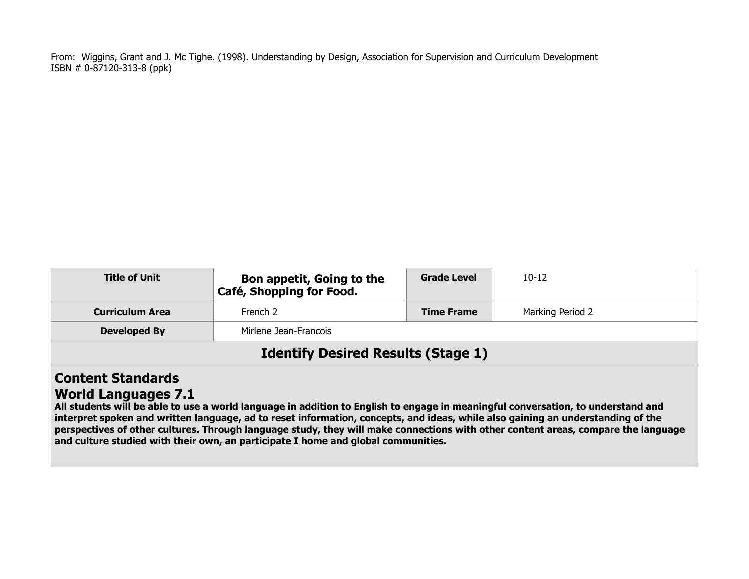From: Wiggins, Grant and J. Mc Tighe. (1998). Understanding by Design, Association for Supervision and Curriculum Development ISBN # 0-87120-313-8 (ppk)

| <b>Title of Unit</b>                                   | Bon appetit, Going to the<br>Café, Shopping for Food.                                                                          | <b>Grade Level</b> | $10 - 12$        |  |
|--------------------------------------------------------|--------------------------------------------------------------------------------------------------------------------------------|--------------------|------------------|--|
| <b>Curriculum Area</b>                                 | French 2                                                                                                                       | <b>Time Frame</b>  | Marking Period 2 |  |
| <b>Developed By</b>                                    | Mirlene Jean-Francois                                                                                                          |                    |                  |  |
| <b>Identify Desired Results (Stage 1)</b>              |                                                                                                                                |                    |                  |  |
| <b>Content Standards</b><br><b>World Languages 7.1</b> | All students will be able to you a would language in addition to Fuelish to announce in monominitary announced and and and and |                    |                  |  |

**All students will be able to use a world language in addition to English to engage in meaningful conversation, to understand and interpret spoken and written language, ad to reset information, concepts, and ideas, while also gaining an understanding of the perspectives of other cultures. Through language study, they will make connections with other content areas, compare the language and culture studied with their own, an participate I home and global communities.**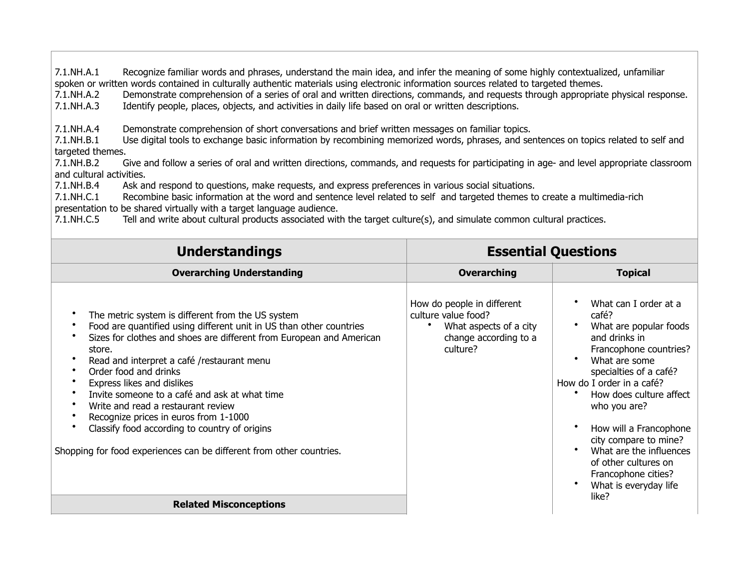7.1.NH.A.1 Recognize familiar words and phrases, understand the main idea, and infer the meaning of some highly contextualized, unfamiliar spoken or written words contained in culturally authentic materials using electronic information sources related to targeted themes.

7.1.NH.A.2 Demonstrate comprehension of a series of oral and written directions, commands, and requests through appropriate physical response.

7.1.NH.A.3 Identify people, places, objects, and activities in daily life based on oral or written descriptions.

7.1.NH.A.4 Demonstrate comprehension of short conversations and brief written messages on familiar topics.

7.1.NH.B.1 Use digital tools to exchange basic information by recombining memorized words, phrases, and sentences on topics related to self and targeted themes.

7.1.NH.B.2 Give and follow a series of oral and written directions, commands, and requests for participating in age- and level appropriate classroom and cultural activities.

7.1.NH.B.4 Ask and respond to questions, make requests, and express preferences in various social situations.

7.1.NH.C.1 Recombine basic information at the word and sentence level related to self and targeted themes to create a multimedia-rich presentation to be shared virtually with a target language audience.

7.1.NH.C.5 Tell and write about cultural products associated with the target culture(s), and simulate common cultural practices.

| <b>Understandings</b>                                                                                                                                                                                                                                                                                                                                                                                                                                                                                                                                                    | <b>Essential Questions</b>                                                                                       |                                                                                                                                                                                                                                                                                                                                                                                       |
|--------------------------------------------------------------------------------------------------------------------------------------------------------------------------------------------------------------------------------------------------------------------------------------------------------------------------------------------------------------------------------------------------------------------------------------------------------------------------------------------------------------------------------------------------------------------------|------------------------------------------------------------------------------------------------------------------|---------------------------------------------------------------------------------------------------------------------------------------------------------------------------------------------------------------------------------------------------------------------------------------------------------------------------------------------------------------------------------------|
| <b>Overarching Understanding</b>                                                                                                                                                                                                                                                                                                                                                                                                                                                                                                                                         | <b>Overarching</b>                                                                                               | <b>Topical</b>                                                                                                                                                                                                                                                                                                                                                                        |
| The metric system is different from the US system<br>Food are quantified using different unit in US than other countries<br>Sizes for clothes and shoes are different from European and American<br>store.<br>Read and interpret a café /restaurant menu<br>Order food and drinks<br>Express likes and dislikes<br>Invite someone to a café and ask at what time<br>Write and read a restaurant review<br>Recognize prices in euros from 1-1000<br>Classify food according to country of origins<br>Shopping for food experiences can be different from other countries. | How do people in different<br>culture value food?<br>What aspects of a city<br>change according to a<br>culture? | What can I order at a<br>café?<br>What are popular foods<br>and drinks in<br>Francophone countries?<br>What are some<br>specialties of a café?<br>How do I order in a café?<br>How does culture affect<br>who you are?<br>How will a Francophone<br>city compare to mine?<br>What are the influences<br>of other cultures on<br>Francophone cities?<br>What is everyday life<br>like? |
| <b>Related Misconceptions</b>                                                                                                                                                                                                                                                                                                                                                                                                                                                                                                                                            |                                                                                                                  |                                                                                                                                                                                                                                                                                                                                                                                       |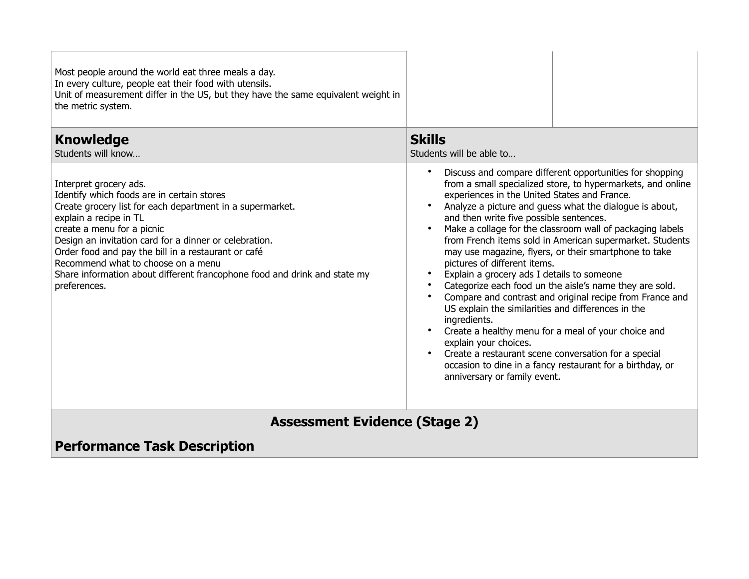| Most people around the world eat three meals a day.<br>In every culture, people eat their food with utensils.<br>Unit of measurement differ in the US, but they have the same equivalent weight in<br>the metric system.                                                                                                                                                                                                                      |                                                                                                                                                                                                                                                                                                                                                                                                                                                                                                                                                                                                                                                                                                                                                                                                                                                                                                                                                                                                                                     |  |  |
|-----------------------------------------------------------------------------------------------------------------------------------------------------------------------------------------------------------------------------------------------------------------------------------------------------------------------------------------------------------------------------------------------------------------------------------------------|-------------------------------------------------------------------------------------------------------------------------------------------------------------------------------------------------------------------------------------------------------------------------------------------------------------------------------------------------------------------------------------------------------------------------------------------------------------------------------------------------------------------------------------------------------------------------------------------------------------------------------------------------------------------------------------------------------------------------------------------------------------------------------------------------------------------------------------------------------------------------------------------------------------------------------------------------------------------------------------------------------------------------------------|--|--|
| <b>Knowledge</b><br>Students will know                                                                                                                                                                                                                                                                                                                                                                                                        | <b>Skills</b><br>Students will be able to                                                                                                                                                                                                                                                                                                                                                                                                                                                                                                                                                                                                                                                                                                                                                                                                                                                                                                                                                                                           |  |  |
| Interpret grocery ads.<br>Identify which foods are in certain stores<br>Create grocery list for each department in a supermarket.<br>explain a recipe in TL<br>create a menu for a picnic<br>Design an invitation card for a dinner or celebration.<br>Order food and pay the bill in a restaurant or café<br>Recommend what to choose on a menu<br>Share information about different francophone food and drink and state my<br>preferences. | $\bullet$<br>Discuss and compare different opportunities for shopping<br>from a small specialized store, to hypermarkets, and online<br>experiences in the United States and France.<br>Analyze a picture and guess what the dialogue is about,<br>and then write five possible sentences.<br>Make a collage for the classroom wall of packaging labels<br>$\bullet$<br>from French items sold in American supermarket. Students<br>may use magazine, flyers, or their smartphone to take<br>pictures of different items.<br>$\bullet$<br>Explain a grocery ads I details to someone<br>Categorize each food un the aisle's name they are sold.<br>$\bullet$<br>Compare and contrast and original recipe from France and<br>US explain the similarities and differences in the<br>ingredients.<br>Create a healthy menu for a meal of your choice and<br>explain your choices.<br>Create a restaurant scene conversation for a special<br>occasion to dine in a fancy restaurant for a birthday, or<br>anniversary or family event. |  |  |
| <b>Assessment Evidence (Stage 2)</b>                                                                                                                                                                                                                                                                                                                                                                                                          |                                                                                                                                                                                                                                                                                                                                                                                                                                                                                                                                                                                                                                                                                                                                                                                                                                                                                                                                                                                                                                     |  |  |
| <b>Performance Task Description</b>                                                                                                                                                                                                                                                                                                                                                                                                           |                                                                                                                                                                                                                                                                                                                                                                                                                                                                                                                                                                                                                                                                                                                                                                                                                                                                                                                                                                                                                                     |  |  |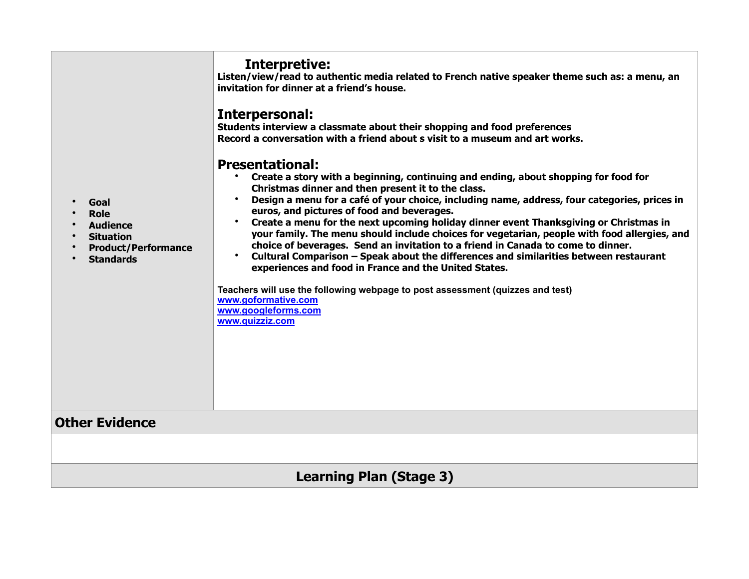| Goal<br><b>Role</b><br><b>Audience</b><br><b>Situation</b><br><b>Product/Performance</b><br><b>Standards</b> | Interpretive:<br>Listen/view/read to authentic media related to French native speaker theme such as: a menu, an<br>invitation for dinner at a friend's house.<br>Interpersonal:<br>Students interview a classmate about their shopping and food preferences<br>Record a conversation with a friend about s visit to a museum and art works.<br><b>Presentational:</b><br>Create a story with a beginning, continuing and ending, about shopping for food for<br>Christmas dinner and then present it to the class.<br>Design a menu for a café of your choice, including name, address, four categories, prices in<br>euros, and pictures of food and beverages.<br>Create a menu for the next upcoming holiday dinner event Thanksgiving or Christmas in<br>your family. The menu should include choices for vegetarian, people with food allergies, and<br>choice of beverages. Send an invitation to a friend in Canada to come to dinner.<br>Cultural Comparison - Speak about the differences and similarities between restaurant<br>experiences and food in France and the United States.<br>Teachers will use the following webpage to post assessment (quizzes and test)<br>www.goformative.com<br>www.googleforms.com<br>www.quizziz.com |  |
|--------------------------------------------------------------------------------------------------------------|---------------------------------------------------------------------------------------------------------------------------------------------------------------------------------------------------------------------------------------------------------------------------------------------------------------------------------------------------------------------------------------------------------------------------------------------------------------------------------------------------------------------------------------------------------------------------------------------------------------------------------------------------------------------------------------------------------------------------------------------------------------------------------------------------------------------------------------------------------------------------------------------------------------------------------------------------------------------------------------------------------------------------------------------------------------------------------------------------------------------------------------------------------------------------------------------------------------------------------------------------|--|
| Other Evidence                                                                                               |                                                                                                                                                                                                                                                                                                                                                                                                                                                                                                                                                                                                                                                                                                                                                                                                                                                                                                                                                                                                                                                                                                                                                                                                                                                   |  |
|                                                                                                              |                                                                                                                                                                                                                                                                                                                                                                                                                                                                                                                                                                                                                                                                                                                                                                                                                                                                                                                                                                                                                                                                                                                                                                                                                                                   |  |
| <b>Learning Plan (Stage 3)</b>                                                                               |                                                                                                                                                                                                                                                                                                                                                                                                                                                                                                                                                                                                                                                                                                                                                                                                                                                                                                                                                                                                                                                                                                                                                                                                                                                   |  |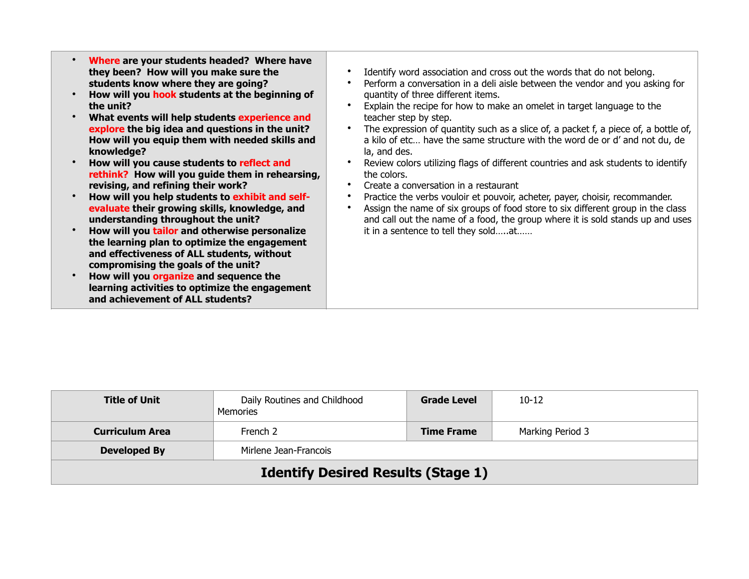| the unit?  | Where are your students headed? Where have<br>they been? How will you make sure the<br>students know where they are going?<br>How will you hook students at the beginning of<br>What events will help students experience and | Identify word association and cross out the words that do not belong.<br>Perform a conversation in a deli aisle between the vendor and you asking for<br>quantity of three different items.<br>Explain the recipe for how to make an omelet in target language to the<br>teacher step by step. |
|------------|-------------------------------------------------------------------------------------------------------------------------------------------------------------------------------------------------------------------------------|------------------------------------------------------------------------------------------------------------------------------------------------------------------------------------------------------------------------------------------------------------------------------------------------|
| knowledge? | explore the big idea and questions in the unit?<br>How will you equip them with needed skills and                                                                                                                             | The expression of quantity such as a slice of, a packet f, a piece of, a bottle of,<br>a kilo of etc have the same structure with the word de or d' and not du, de<br>la, and des.                                                                                                             |
|            | How will you cause students to reflect and<br>rethink? How will you guide them in rehearsing,<br>revising, and refining their work?                                                                                           | Review colors utilizing flags of different countries and ask students to identify<br>the colors.<br>Create a conversation in a restaurant                                                                                                                                                      |
|            | How will you help students to exhibit and self-<br>evaluate their growing skills, knowledge, and<br>understanding throughout the unit?                                                                                        | Practice the verbs vouloir et pouvoir, acheter, payer, choisir, recommander.<br>Assign the name of six groups of food store to six different group in the class<br>and call out the name of a food, the group where it is sold stands up and uses                                              |
|            | How will you tailor and otherwise personalize<br>the learning plan to optimize the engagement<br>and effectiveness of ALL students, without<br>compromising the goals of the unit?                                            | it in a sentence to tell they soldat                                                                                                                                                                                                                                                           |
|            | How will you organize and sequence the<br>learning activities to optimize the engagement<br>and achievement of ALL students?                                                                                                  |                                                                                                                                                                                                                                                                                                |

| <b>Title of Unit</b>                      | Daily Routines and Childhood<br><b>Memories</b> | <b>Grade Level</b> | $10-12$          |  |
|-------------------------------------------|-------------------------------------------------|--------------------|------------------|--|
| <b>Curriculum Area</b>                    | French 2                                        | <b>Time Frame</b>  | Marking Period 3 |  |
| Developed By                              | Mirlene Jean-Francois                           |                    |                  |  |
| <b>Identify Desired Results (Stage 1)</b> |                                                 |                    |                  |  |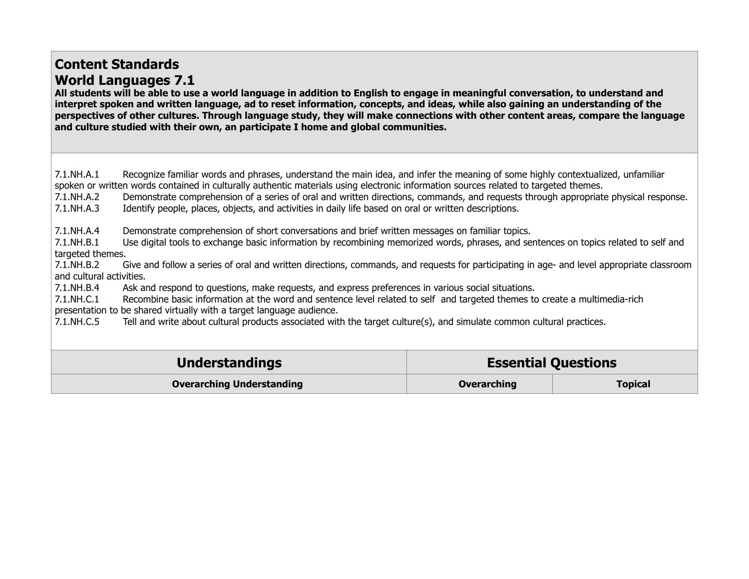## **Content Standards World Languages 7.1**

**All students will be able to use a world language in addition to English to engage in meaningful conversation, to understand and interpret spoken and written language, ad to reset information, concepts, and ideas, while also gaining an understanding of the perspectives of other cultures. Through language study, they will make connections with other content areas, compare the language and culture studied with their own, an participate I home and global communities.** 

7.1.NH.A.1 Recognize familiar words and phrases, understand the main idea, and infer the meaning of some highly contextualized, unfamiliar spoken or written words contained in culturally authentic materials using electronic information sources related to targeted themes.

7.1.NH.A.2 Demonstrate comprehension of a series of oral and written directions, commands, and requests through appropriate physical response.

7.1.NH.A.3 Identify people, places, objects, and activities in daily life based on oral or written descriptions.

7.1.NH.A.4 Demonstrate comprehension of short conversations and brief written messages on familiar topics.

7.1.NH.B.1 Use digital tools to exchange basic information by recombining memorized words, phrases, and sentences on topics related to self and targeted themes.

7.1.NH.B.2 Give and follow a series of oral and written directions, commands, and requests for participating in age- and level appropriate classroom and cultural activities.

7.1.NH.B.4 Ask and respond to questions, make requests, and express preferences in various social situations.

7.1.NH.C.1 Recombine basic information at the word and sentence level related to self and targeted themes to create a multimedia-rich presentation to be shared virtually with a target language audience.

7.1.NH.C.5 Tell and write about cultural products associated with the target culture(s), and simulate common cultural practices.

| <b>Understandings</b>            | <b>Essential Questions</b> |                |
|----------------------------------|----------------------------|----------------|
| <b>Overarching Understanding</b> | Overarching                | <b>Topical</b> |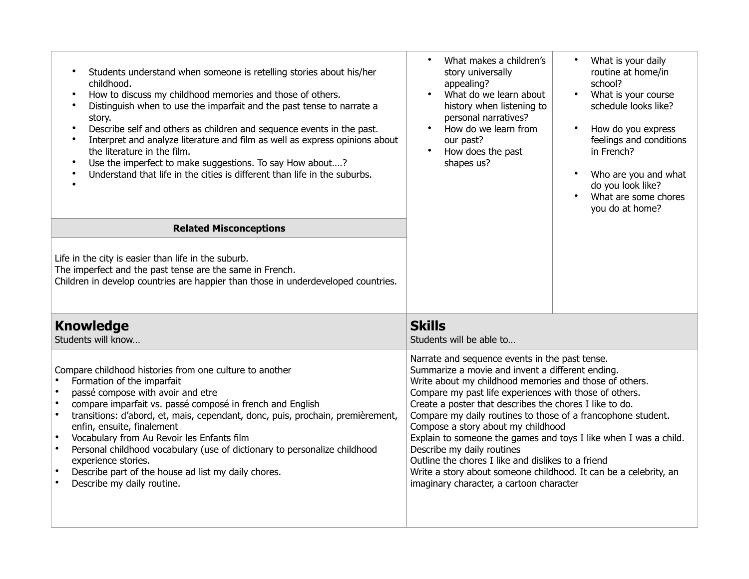| Students understand when someone is retelling stories about his/her<br>childhood.<br>How to discuss my childhood memories and those of others.<br>$\bullet$<br>Distinguish when to use the imparfait and the past tense to narrate a<br>$\bullet$<br>story.<br>Describe self and others as children and sequence events in the past.<br>Interpret and analyze literature and film as well as express opinions about<br>the literature in the film.<br>Use the imperfect to make suggestions. To say How about?<br>$\bullet$<br>Understand that life in the cities is different than life in the suburbs. | What makes a children's<br>story universally<br>appealing?<br>What do we learn about<br>history when listening to<br>personal narratives?<br>How do we learn from<br>our past?<br>How does the past<br>shapes us?                                                                                                                                                                                                                                                                                                                                                                                                                                               | What is your daily<br>$\bullet$<br>routine at home/in<br>school?<br>$\bullet$<br>What is your course<br>schedule looks like?<br>How do you express<br>$\bullet$<br>feelings and conditions<br>in French?<br>Who are you and what<br>$\bullet$<br>do you look like?<br>What are some chores<br>$\bullet$<br>you do at home? |
|----------------------------------------------------------------------------------------------------------------------------------------------------------------------------------------------------------------------------------------------------------------------------------------------------------------------------------------------------------------------------------------------------------------------------------------------------------------------------------------------------------------------------------------------------------------------------------------------------------|-----------------------------------------------------------------------------------------------------------------------------------------------------------------------------------------------------------------------------------------------------------------------------------------------------------------------------------------------------------------------------------------------------------------------------------------------------------------------------------------------------------------------------------------------------------------------------------------------------------------------------------------------------------------|----------------------------------------------------------------------------------------------------------------------------------------------------------------------------------------------------------------------------------------------------------------------------------------------------------------------------|
| <b>Related Misconceptions</b>                                                                                                                                                                                                                                                                                                                                                                                                                                                                                                                                                                            |                                                                                                                                                                                                                                                                                                                                                                                                                                                                                                                                                                                                                                                                 |                                                                                                                                                                                                                                                                                                                            |
| Life in the city is easier than life in the suburb.<br>The imperfect and the past tense are the same in French.<br>Children in develop countries are happier than those in underdeveloped countries.                                                                                                                                                                                                                                                                                                                                                                                                     |                                                                                                                                                                                                                                                                                                                                                                                                                                                                                                                                                                                                                                                                 |                                                                                                                                                                                                                                                                                                                            |
| <b>Knowledge</b><br>Students will know                                                                                                                                                                                                                                                                                                                                                                                                                                                                                                                                                                   | <b>Skills</b><br>Students will be able to                                                                                                                                                                                                                                                                                                                                                                                                                                                                                                                                                                                                                       |                                                                                                                                                                                                                                                                                                                            |
| Compare childhood histories from one culture to another<br>Formation of the imparfait<br>passé compose with avoir and etre<br>compare imparfait vs. passé composé in french and English<br>$\bullet$<br>transitions: d'abord, et, mais, cependant, donc, puis, prochain, premièrement,<br>$\bullet$<br>enfin, ensuite, finalement<br>Vocabulary from Au Revoir les Enfants film<br>$\bullet$<br>Personal childhood vocabulary (use of dictionary to personalize childhood<br>experience stories.<br>Describe part of the house ad list my daily chores.<br>$\bullet$<br>Describe my daily routine.       | Narrate and sequence events in the past tense.<br>Summarize a movie and invent a different ending.<br>Write about my childhood memories and those of others.<br>Compare my past life experiences with those of others.<br>Create a poster that describes the chores I like to do.<br>Compare my daily routines to those of a francophone student.<br>Compose a story about my childhood<br>Explain to someone the games and toys I like when I was a child.<br>Describe my daily routines<br>Outline the chores I like and dislikes to a friend<br>Write a story about someone childhood. It can be a celebrity, an<br>imaginary character, a cartoon character |                                                                                                                                                                                                                                                                                                                            |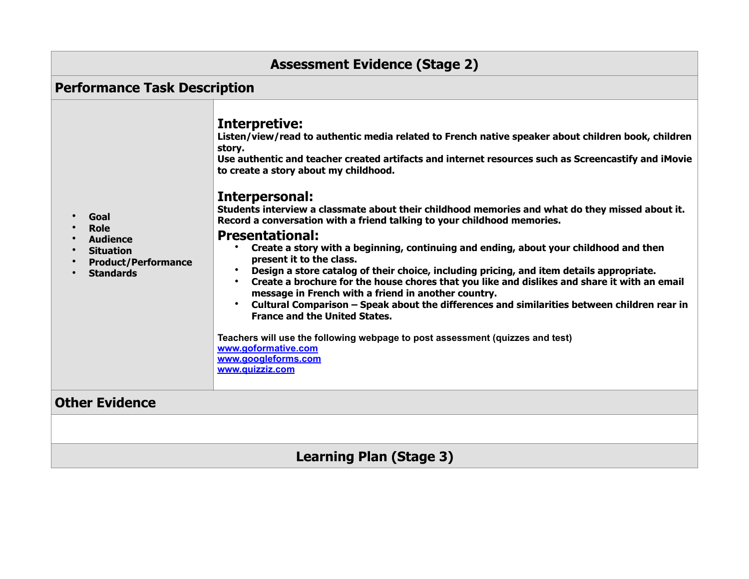| <b>Assessment Evidence (Stage 2)</b>                                                                         |                                                                                                                                                                                                                                                                                                                                                                                                                                                                                                                                                                                                                                                                                                                                                                                                                                                                                                                                                                                                                                                                                                                                                                                           |  |  |
|--------------------------------------------------------------------------------------------------------------|-------------------------------------------------------------------------------------------------------------------------------------------------------------------------------------------------------------------------------------------------------------------------------------------------------------------------------------------------------------------------------------------------------------------------------------------------------------------------------------------------------------------------------------------------------------------------------------------------------------------------------------------------------------------------------------------------------------------------------------------------------------------------------------------------------------------------------------------------------------------------------------------------------------------------------------------------------------------------------------------------------------------------------------------------------------------------------------------------------------------------------------------------------------------------------------------|--|--|
| <b>Performance Task Description</b>                                                                          |                                                                                                                                                                                                                                                                                                                                                                                                                                                                                                                                                                                                                                                                                                                                                                                                                                                                                                                                                                                                                                                                                                                                                                                           |  |  |
| Goal<br><b>Role</b><br><b>Audience</b><br><b>Situation</b><br><b>Product/Performance</b><br><b>Standards</b> | Interpretive:<br>Listen/view/read to authentic media related to French native speaker about children book, children<br>story.<br>Use authentic and teacher created artifacts and internet resources such as Screencastify and iMovie<br>to create a story about my childhood.<br>Interpersonal:<br>Students interview a classmate about their childhood memories and what do they missed about it.<br>Record a conversation with a friend talking to your childhood memories.<br><b>Presentational:</b><br>• Create a story with a beginning, continuing and ending, about your childhood and then<br>present it to the class.<br>Design a store catalog of their choice, including pricing, and item details appropriate.<br>• Create a brochure for the house chores that you like and dislikes and share it with an email<br>message in French with a friend in another country.<br>Cultural Comparison - Speak about the differences and similarities between children rear in<br>$\bullet$<br><b>France and the United States.</b><br>Teachers will use the following webpage to post assessment (quizzes and test)<br>www.goformative.com<br>www.googleforms.com<br>www.quizziz.com |  |  |
| <b>Other Evidence</b>                                                                                        |                                                                                                                                                                                                                                                                                                                                                                                                                                                                                                                                                                                                                                                                                                                                                                                                                                                                                                                                                                                                                                                                                                                                                                                           |  |  |
|                                                                                                              |                                                                                                                                                                                                                                                                                                                                                                                                                                                                                                                                                                                                                                                                                                                                                                                                                                                                                                                                                                                                                                                                                                                                                                                           |  |  |
| <b>Learning Plan (Stage 3)</b>                                                                               |                                                                                                                                                                                                                                                                                                                                                                                                                                                                                                                                                                                                                                                                                                                                                                                                                                                                                                                                                                                                                                                                                                                                                                                           |  |  |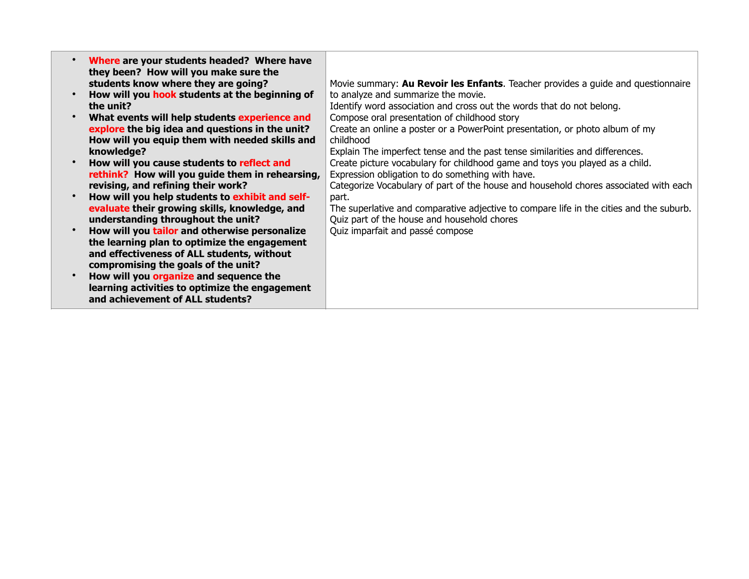| Where are your students headed? Where have<br>they been? How will you make sure the |                                                                                         |
|-------------------------------------------------------------------------------------|-----------------------------------------------------------------------------------------|
| students know where they are going?                                                 | Movie summary: Au Revoir les Enfants. Teacher provides a guide and questionnaire        |
| How will you hook students at the beginning of                                      | to analyze and summarize the movie.                                                     |
| the unit?                                                                           | Identify word association and cross out the words that do not belong.                   |
| What events will help students experience and                                       | Compose oral presentation of childhood story                                            |
| explore the big idea and questions in the unit?                                     | Create an online a poster or a PowerPoint presentation, or photo album of my            |
| How will you equip them with needed skills and                                      | childhood                                                                               |
| knowledge?                                                                          | Explain The imperfect tense and the past tense similarities and differences.            |
| How will you cause students to reflect and                                          | Create picture vocabulary for childhood game and toys you played as a child.            |
| rethink? How will you guide them in rehearsing,                                     | Expression obligation to do something with have.                                        |
| revising, and refining their work?                                                  | Categorize Vocabulary of part of the house and household chores associated with each    |
| How will you help students to exhibit and self-                                     | part.                                                                                   |
| evaluate their growing skills, knowledge, and                                       | The superlative and comparative adjective to compare life in the cities and the suburb. |
| understanding throughout the unit?                                                  | Quiz part of the house and household chores                                             |
| How will you tailor and otherwise personalize                                       | Quiz imparfait and passé compose                                                        |
| the learning plan to optimize the engagement                                        |                                                                                         |
| and effectiveness of ALL students, without                                          |                                                                                         |
| compromising the goals of the unit?                                                 |                                                                                         |
| How will you organize and sequence the                                              |                                                                                         |
| learning activities to optimize the engagement                                      |                                                                                         |
| and achievement of ALL students?                                                    |                                                                                         |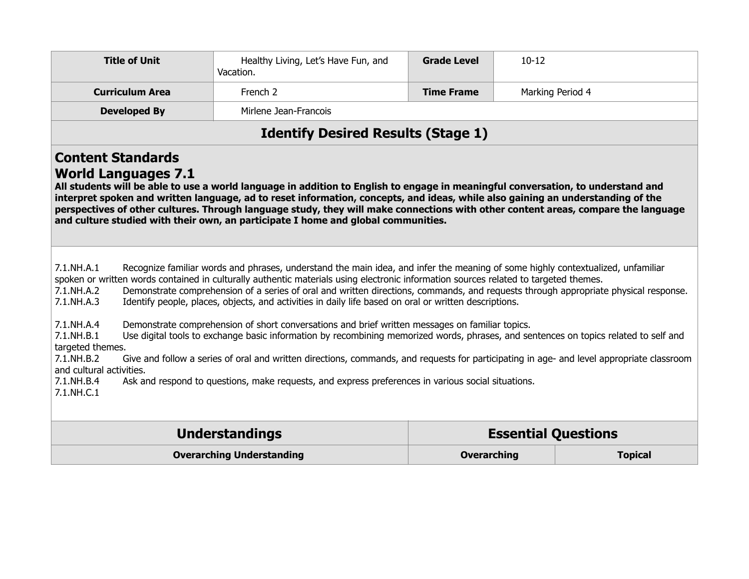| <b>Title of Unit</b>                                                                                                                                                                                                                                                                                                                                                                                                                                                                                                                                                                                                                                                                                                                                                                                                                                                                                                                                                                                                                                                                                                                                                                     | Healthy Living, Let's Have Fun, and<br>Vacation. | <b>Grade Level</b> | $10 - 12$                  |                |
|------------------------------------------------------------------------------------------------------------------------------------------------------------------------------------------------------------------------------------------------------------------------------------------------------------------------------------------------------------------------------------------------------------------------------------------------------------------------------------------------------------------------------------------------------------------------------------------------------------------------------------------------------------------------------------------------------------------------------------------------------------------------------------------------------------------------------------------------------------------------------------------------------------------------------------------------------------------------------------------------------------------------------------------------------------------------------------------------------------------------------------------------------------------------------------------|--------------------------------------------------|--------------------|----------------------------|----------------|
| <b>Curriculum Area</b>                                                                                                                                                                                                                                                                                                                                                                                                                                                                                                                                                                                                                                                                                                                                                                                                                                                                                                                                                                                                                                                                                                                                                                   | French 2                                         | <b>Time Frame</b>  | Marking Period 4           |                |
| <b>Developed By</b>                                                                                                                                                                                                                                                                                                                                                                                                                                                                                                                                                                                                                                                                                                                                                                                                                                                                                                                                                                                                                                                                                                                                                                      | Mirlene Jean-Francois                            |                    |                            |                |
| <b>Identify Desired Results (Stage 1)</b>                                                                                                                                                                                                                                                                                                                                                                                                                                                                                                                                                                                                                                                                                                                                                                                                                                                                                                                                                                                                                                                                                                                                                |                                                  |                    |                            |                |
| <b>Content Standards</b><br><b>World Languages 7.1</b><br>All students will be able to use a world language in addition to English to engage in meaningful conversation, to understand and<br>interpret spoken and written language, ad to reset information, concepts, and ideas, while also gaining an understanding of the<br>perspectives of other cultures. Through language study, they will make connections with other content areas, compare the language<br>and culture studied with their own, an participate I home and global communities.                                                                                                                                                                                                                                                                                                                                                                                                                                                                                                                                                                                                                                  |                                                  |                    |                            |                |
| $7.1$ .NH.A.1<br>Recognize familiar words and phrases, understand the main idea, and infer the meaning of some highly contextualized, unfamiliar<br>spoken or written words contained in culturally authentic materials using electronic information sources related to targeted themes.<br>Demonstrate comprehension of a series of oral and written directions, commands, and requests through appropriate physical response.<br>7.1.NH.A.2<br>Identify people, places, objects, and activities in daily life based on oral or written descriptions.<br>7.1.NH.A.3<br>7.1.NH.A.4<br>Demonstrate comprehension of short conversations and brief written messages on familiar topics.<br>7.1.NH.B.1<br>Use digital tools to exchange basic information by recombining memorized words, phrases, and sentences on topics related to self and<br>targeted themes.<br>7.1.NH.B.2<br>Give and follow a series of oral and written directions, commands, and requests for participating in age- and level appropriate classroom<br>and cultural activities.<br>7.1.NH.B.4<br>Ask and respond to questions, make requests, and express preferences in various social situations.<br>7.1.NH.C.1 |                                                  |                    |                            |                |
|                                                                                                                                                                                                                                                                                                                                                                                                                                                                                                                                                                                                                                                                                                                                                                                                                                                                                                                                                                                                                                                                                                                                                                                          | <b>Understandings</b>                            |                    | <b>Essential Questions</b> |                |
|                                                                                                                                                                                                                                                                                                                                                                                                                                                                                                                                                                                                                                                                                                                                                                                                                                                                                                                                                                                                                                                                                                                                                                                          | <b>Overarching Understanding</b>                 | <b>Overarching</b> |                            | <b>Topical</b> |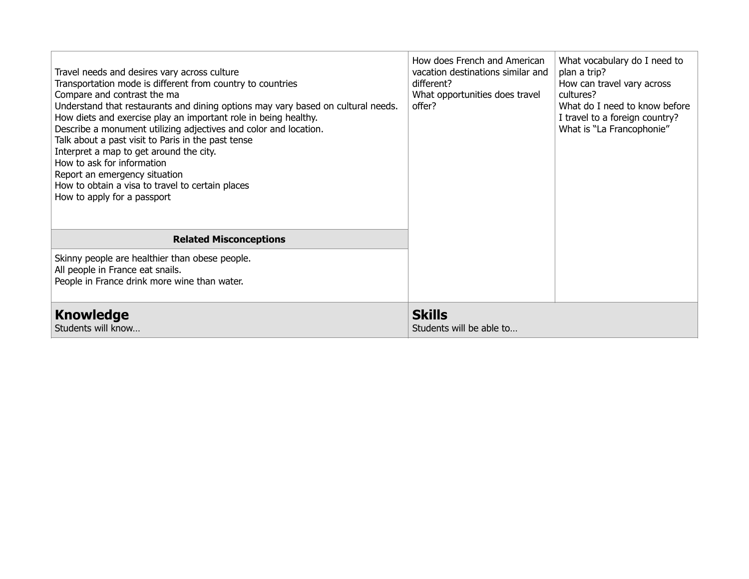| Travel needs and desires vary across culture<br>Transportation mode is different from country to countries<br>Compare and contrast the ma<br>Understand that restaurants and dining options may vary based on cultural needs.<br>How diets and exercise play an important role in being healthy.<br>Describe a monument utilizing adjectives and color and location.<br>Talk about a past visit to Paris in the past tense<br>Interpret a map to get around the city.<br>How to ask for information<br>Report an emergency situation<br>How to obtain a visa to travel to certain places<br>How to apply for a passport | How does French and American<br>vacation destinations similar and<br>different?<br>What opportunities does travel<br>offer? | What vocabulary do I need to<br>plan a trip?<br>How can travel vary across<br>cultures?<br>What do I need to know before<br>I travel to a foreign country?<br>What is "La Francophonie" |
|-------------------------------------------------------------------------------------------------------------------------------------------------------------------------------------------------------------------------------------------------------------------------------------------------------------------------------------------------------------------------------------------------------------------------------------------------------------------------------------------------------------------------------------------------------------------------------------------------------------------------|-----------------------------------------------------------------------------------------------------------------------------|-----------------------------------------------------------------------------------------------------------------------------------------------------------------------------------------|
| <b>Related Misconceptions</b>                                                                                                                                                                                                                                                                                                                                                                                                                                                                                                                                                                                           |                                                                                                                             |                                                                                                                                                                                         |
| Skinny people are healthier than obese people.<br>All people in France eat snails.<br>People in France drink more wine than water.                                                                                                                                                                                                                                                                                                                                                                                                                                                                                      |                                                                                                                             |                                                                                                                                                                                         |
| <b>Knowledge</b><br>Students will know                                                                                                                                                                                                                                                                                                                                                                                                                                                                                                                                                                                  | <b>Skills</b><br>Students will be able to                                                                                   |                                                                                                                                                                                         |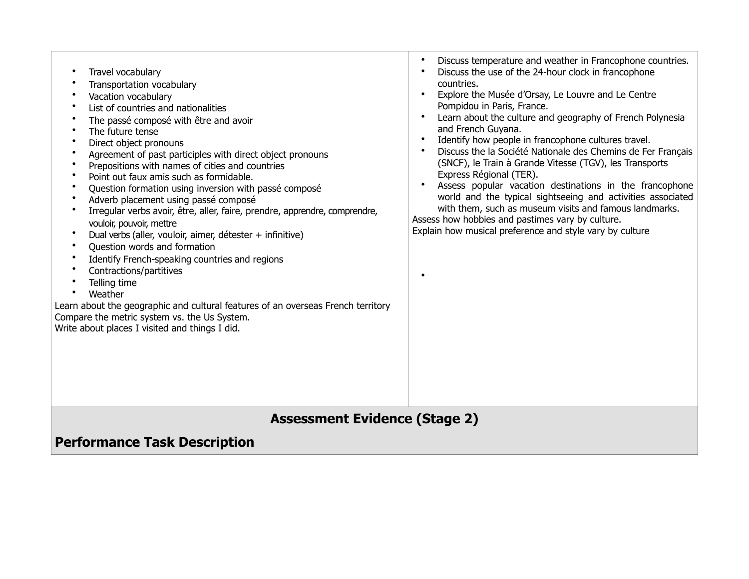| Travel vocabulary                                                                | Discuss temperature and weather in Francophone countries.    |  |  |  |  |
|----------------------------------------------------------------------------------|--------------------------------------------------------------|--|--|--|--|
| Transportation vocabulary                                                        | $\bullet$                                                    |  |  |  |  |
| Vacation vocabulary                                                              | Discuss the use of the 24-hour clock in francophone          |  |  |  |  |
| List of countries and nationalities                                              | $\bullet$                                                    |  |  |  |  |
| The passé composé with être and avoir                                            | countries.                                                   |  |  |  |  |
| The future tense                                                                 | Explore the Musée d'Orsay, Le Louvre and Le Centre           |  |  |  |  |
| Direct object pronouns                                                           | $\bullet$                                                    |  |  |  |  |
| Agreement of past participles with direct object pronouns                        | Pompidou in Paris, France.                                   |  |  |  |  |
| Prepositions with names of cities and countries                                  | Learn about the culture and geography of French Polynesia    |  |  |  |  |
| Point out faux amis such as formidable.                                          | $\bullet$                                                    |  |  |  |  |
| Question formation using inversion with passé composé                            | and French Guyana.                                           |  |  |  |  |
| Adverb placement using passé composé                                             | Identify how people in francophone cultures travel.          |  |  |  |  |
| Irregular verbs avoir, être, aller, faire, prendre, apprendre, comprendre,       | $\bullet$                                                    |  |  |  |  |
| vouloir, pouvoir, mettre                                                         | Discuss the la Société Nationale des Chemins de Fer Français |  |  |  |  |
| Dual verbs (aller, vouloir, aimer, détester + infinitive)                        | $\bullet$                                                    |  |  |  |  |
| Question words and formation                                                     | (SNCF), le Train à Grande Vitesse (TGV), les Transports      |  |  |  |  |
| Identify French-speaking countries and regions                                   | Express Régional (TER).                                      |  |  |  |  |
| Contractions/partitives                                                          | Assess popular vacation destinations in the francophone      |  |  |  |  |
| Telling time                                                                     | $\bullet$                                                    |  |  |  |  |
| Weather                                                                          | world and the typical sightseeing and activities associated  |  |  |  |  |
| Learn about the geographic and cultural features of an overseas French territory | with them, such as museum visits and famous landmarks.       |  |  |  |  |
| Compare the metric system vs. the Us System.                                     | Assess how hobbies and pastimes vary by culture.             |  |  |  |  |
| Write about places I visited and things I did.                                   | Explain how musical preference and style vary by culture     |  |  |  |  |
| <b>Assessment Evidence (Stage 2)</b><br><b>Performance Task Description</b>      |                                                              |  |  |  |  |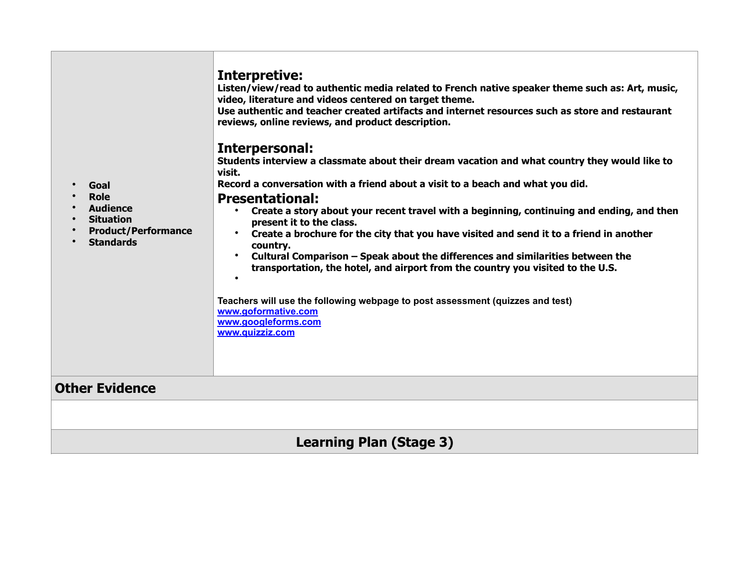| Goal<br><b>Role</b><br><b>Audience</b><br><b>Situation</b><br><b>Product/Performance</b><br><b>Standards</b> | Interpretive:<br>Listen/view/read to authentic media related to French native speaker theme such as: Art, music,<br>video, literature and videos centered on target theme.<br>Use authentic and teacher created artifacts and internet resources such as store and restaurant<br>reviews, online reviews, and product description.<br>Interpersonal:<br>Students interview a classmate about their dream vacation and what country they would like to<br>visit.<br>Record a conversation with a friend about a visit to a beach and what you did.<br><b>Presentational:</b><br>Create a story about your recent travel with a beginning, continuing and ending, and then<br>$\bullet$<br>present it to the class.<br>Create a brochure for the city that you have visited and send it to a friend in another<br>country.<br>Cultural Comparison - Speak about the differences and similarities between the<br>$\bullet$<br>transportation, the hotel, and airport from the country you visited to the U.S.<br>Teachers will use the following webpage to post assessment (quizzes and test)<br>www.goformative.com<br>www.googleforms.com<br>www.quizziz.com |  |
|--------------------------------------------------------------------------------------------------------------|--------------------------------------------------------------------------------------------------------------------------------------------------------------------------------------------------------------------------------------------------------------------------------------------------------------------------------------------------------------------------------------------------------------------------------------------------------------------------------------------------------------------------------------------------------------------------------------------------------------------------------------------------------------------------------------------------------------------------------------------------------------------------------------------------------------------------------------------------------------------------------------------------------------------------------------------------------------------------------------------------------------------------------------------------------------------------------------------------------------------------------------------------------------|--|
| <b>Other Evidence</b>                                                                                        |                                                                                                                                                                                                                                                                                                                                                                                                                                                                                                                                                                                                                                                                                                                                                                                                                                                                                                                                                                                                                                                                                                                                                              |  |
|                                                                                                              |                                                                                                                                                                                                                                                                                                                                                                                                                                                                                                                                                                                                                                                                                                                                                                                                                                                                                                                                                                                                                                                                                                                                                              |  |
| <b>Learning Plan (Stage 3)</b>                                                                               |                                                                                                                                                                                                                                                                                                                                                                                                                                                                                                                                                                                                                                                                                                                                                                                                                                                                                                                                                                                                                                                                                                                                                              |  |